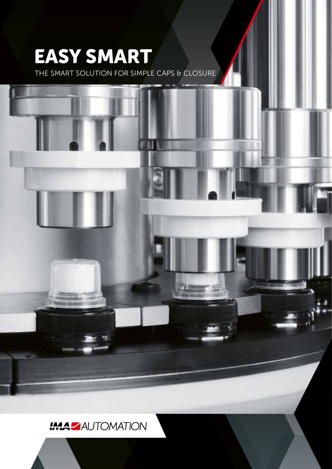# **EASY SMART**

THE SMART SOLUTION FOR SIMPLE CAPS & CLOSURE



## **IMA ZAUTOMATION**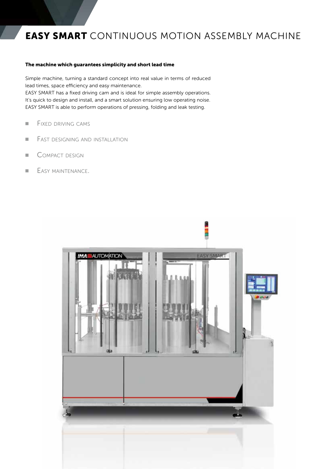### **EASY SMART** CONTINUOUS MOTION ASSEMBLY MACHINE

#### **The machine which guarantees simplicity and short lead time**

Simple machine, turning a standard concept into real value in terms of reduced lead times, space efficiency and easy maintenance. EASY SMART has a fixed driving cam and is ideal for simple assembly operations. It's quick to design and install, and a smart solution ensuring low operating noise. EASY SMART is able to perform operations of pressing, folding and leak testing.

- **E** FIXED DRIVING CAMS
- FAST DESIGNING AND INSTALLATION
- COMPACT DESIGN
- **EASY MAINTENANCE.**

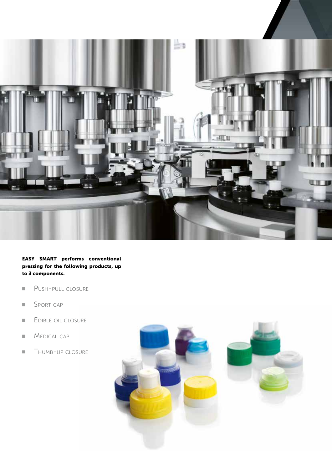

**EASY SMART performs conventional pressing for the following products, up to 3 components.**

- Push-pull closure
- SPORT CAP
- EDIBLE OIL CLOSURE
- MEDICAL CAP
- **THUMB-UP CLOSURE**